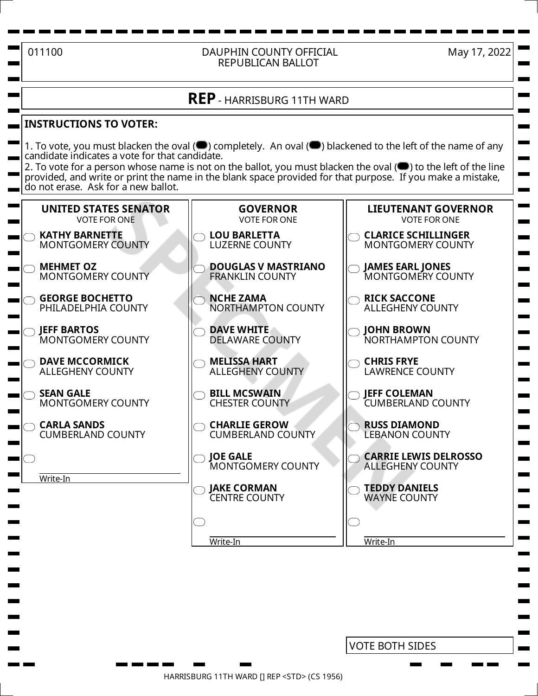## 011100 DAUPHIN COUNTY OFFICIAL REPUBLICAN BALLOT

May 17, 2022

## **REP**- HARRISBURG 11TH WARD

## **INSTRUCTIONS TO VOTER:**

1. To vote, you must blacken the oval ( $\bullet$ ) completely. An oval ( $\bullet$ ) blackened to the left of the name of any candidate indicates a vote for that candidate.

2. To vote for a person whose name is not on the ballot, you must blacken the oval ( $\bullet$ ) to the left of the line provided, and write or print the name in the blank space provided for that purpose. If you make a mistake, do not erase. Ask for a new ballot.



VOTE BOTH SIDES